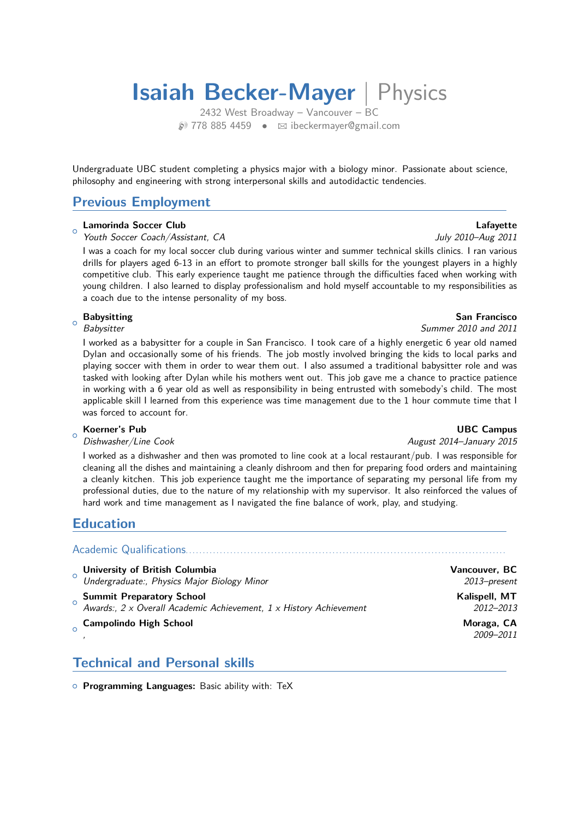# **Isaiah Becker-Mayer** | Physics

2432 West Broadway – Vancouver – BC  $\circ$  778 885 4459 •  $\boxtimes$  ibeckermaver@gmail.com

Undergraduate UBC student completing a physics major with a biology minor. Passionate about science, philosophy and engineering with strong interpersonal skills and autodidactic tendencies.

## **Previous Employment**

### $\Omega$ **Lamorinda Soccer Club Lafayette**

Youth Soccer Coach/Assistant, CA July 2010–Aug 2011

I was a coach for my local soccer club during various winter and summer technical skills clinics. I ran various drills for players aged 6-13 in an effort to promote stronger ball skills for the youngest players in a highly competitive club. This early experience taught me patience through the difficulties faced when working with young children. I also learned to display professionalism and hold myself accountable to my responsibilities as a coach due to the intense personality of my boss.

### $\Omega$ **Babysitting San Francisco**

I worked as a babysitter for a couple in San Francisco. I took care of a highly energetic 6 year old named Dylan and occasionally some of his friends. The job mostly involved bringing the kids to local parks and playing soccer with them in order to wear them out. I also assumed a traditional babysitter role and was tasked with looking after Dylan while his mothers went out. This job gave me a chance to practice patience in working with a 6 year old as well as responsibility in being entrusted with somebody's child. The most applicable skill I learned from this experience was time management due to the 1 hour commute time that I was forced to account for.

### $\circ$ **Koerner's Pub** UBC Campus

Dishwasher/Line Cook August 2014–January 2015

I worked as a dishwasher and then was promoted to line cook at a local restaurant/pub. I was responsible for cleaning all the dishes and maintaining a cleanly dishroom and then for preparing food orders and maintaining a cleanly kitchen. This job experience taught me the importance of separating my personal life from my professional duties, due to the nature of my relationship with my supervisor. It also reinforced the values of hard work and time management as I navigated the fine balance of work, play, and studying.

## **Education**

Academic Qualifications..................

- $\circ$ **University of British Columbia Vancouver, BC** Undergraduate:, Physics Major Biology Minor 2013–present
- $\overline{a}$ **Summit Preparatory School Contract Contract Contract Contract Contract Contract Contract Contract Contract Contract Contract Contract Contract Contract Contract Contract Contract Contract Contract Contract Contract Contra** Awards:, 2 x Overall Academic Achievement, 1 x History Achievement 2012–2013  $\sim$ **Campolindo High School Moraga, CA**

, 2009–2011

## **Technical and Personal skills**

{ **Programming Languages:** Basic ability with: TeX

Babysitter Summer 2010 and 2011